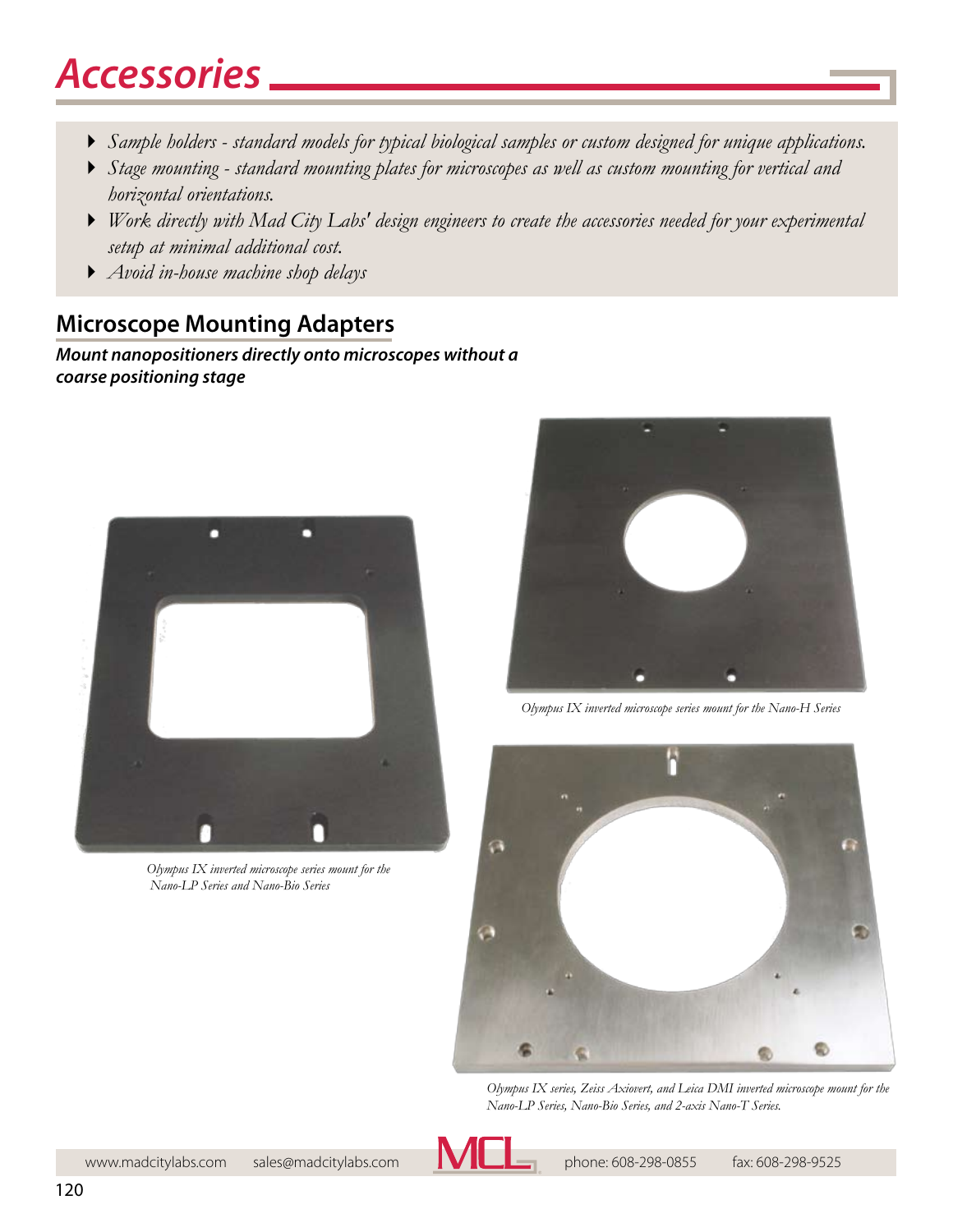# *Accessories*

- 4 *Sample holders standard models for typical biological samples or custom designed for unique applications.*
- 4 *Stage mounting standard mounting plates for microscopes as well as custom mounting for vertical and horizontal orientations.*
- 4 *Work directly with Mad City Labs' design engineers to create the accessories needed for your experimental setup at minimal additional cost.*
- 4 *Avoid in-house machine shop delays*

## **Microscope Mounting Adapters**

### *Mount nanopositioners directly onto microscopes without a coarse positioning stage*



*Olympus IX inverted microscope series mount for the Nano-LP Series and Nano-Bio Series*



*Olympus IX inverted microscope series mount for the Nano-H Series*



*Olympus IX series, Zeiss Axiovert, and Leica DMI inverted microscope mount for the Nano-LP Series, Nano-Bio Series, and 2-axis Nano-T Series.*